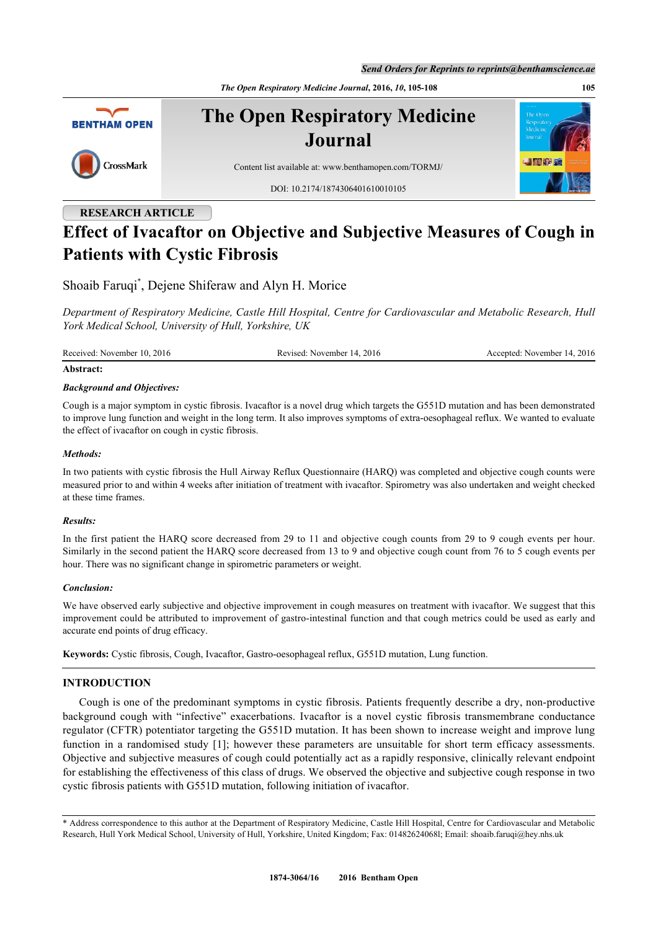*Send Orders for Reprints to reprints@benthamscience.ae*

*The Open Respiratory Medicine Journal***, 2016,** *10***, 105-108 105**



# **RESEARCH ARTICLE Effect of Ivacaftor on Objective and Subjective Measures of Cough in Patients with Cystic Fibrosis**

Shoaib Faruqi[\\*](#page-0-0) , Dejene Shiferaw and Alyn H. Morice

*Department of Respiratory Medicine, Castle Hill Hospital, Centre for Cardiovascular and Metabolic Research, Hull York Medical School, University of Hull, Yorkshire, UK*

Received: November 10, 2016 Revised: November 14, 2016 Accepted: November 14, 2016

#### **Abstract:**

### *Background and Objectives:*

Cough is a major symptom in cystic fibrosis. Ivacaftor is a novel drug which targets the G551D mutation and has been demonstrated to improve lung function and weight in the long term. It also improves symptoms of extra-oesophageal reflux. We wanted to evaluate the effect of ivacaftor on cough in cystic fibrosis.

# *Methods:*

In two patients with cystic fibrosis the Hull Airway Reflux Questionnaire (HARQ) was completed and objective cough counts were measured prior to and within 4 weeks after initiation of treatment with ivacaftor. Spirometry was also undertaken and weight checked at these time frames.

### *Results:*

In the first patient the HARQ score decreased from 29 to 11 and objective cough counts from 29 to 9 cough events per hour. Similarly in the second patient the HARQ score decreased from 13 to 9 and objective cough count from 76 to 5 cough events per hour. There was no significant change in spirometric parameters or weight.

### *Conclusion:*

We have observed early subjective and objective improvement in cough measures on treatment with ivacaftor. We suggest that this improvement could be attributed to improvement of gastro-intestinal function and that cough metrics could be used as early and accurate end points of drug efficacy.

**Keywords:** Cystic fibrosis, Cough, Ivacaftor, Gastro-oesophageal reflux, G551D mutation, Lung function.

# **INTRODUCTION**

Cough is one of the predominant symptoms in cystic fibrosis. Patients frequently describe a dry, non-productive background cough with "infective" exacerbations. Ivacaftor is a novel cystic fibrosis transmembrane conductance regulator (CFTR) potentiator targeting the G551D mutation. It has been shown to increase weight and improve lung function in a randomised study [\[1](#page-2-0)]; however these parameters are unsuitable for short term efficacy assessments. Objective and subjective measures of cough could potentially act as a rapidly responsive, clinically relevant endpoint for establishing the effectiveness of this class of drugs. We observed the objective and subjective cough response in two cystic fibrosis patients with G551D mutation, following initiation of ivacaftor.

<span id="page-0-0"></span>\* Address correspondence to this author at the Department of Respiratory Medicine, Castle Hill Hospital, Centre for Cardiovascular and Metabolic Research, Hull York Medical School, University of Hull, Yorkshire, United Kingdom; Fax: 01482624068l; Email: [shoaib.faruqi@hey.nhs.uk](mailto:shoaib.faruqi@hey.nhs.uk)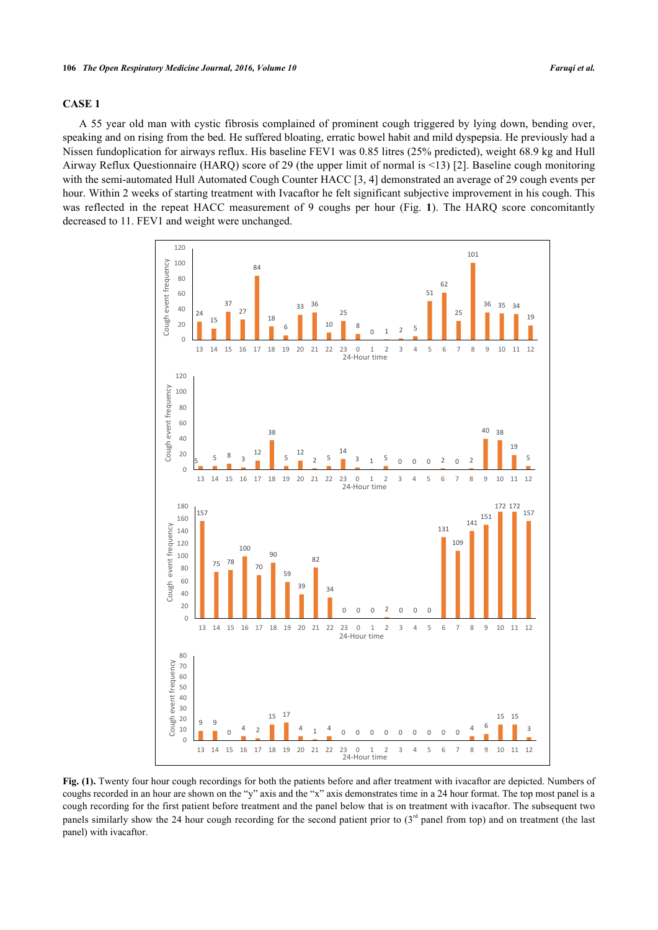# **CASE 1**

<span id="page-1-0"></span>A 55 year old man with cystic fibrosis complained of prominent cough triggered by lying down, bending over, speaking and on rising from the bed. He suffered bloating, erratic bowel habit and mild dyspepsia. He previously had a Nissen fundoplication for airways reflux. His baseline FEV1 was 0.85 litres (25% predicted), weight 68.9 kg and Hull Airway Reflux Questionnaire (HARQ) score of 29 (the upper limit of normal is <13) [[2\]](#page-2-1). Baseline cough monitoring with the semi-automated Hull Automated Cough Counter HACC [[3,](#page-2-2) [4\]](#page-2-3) demonstrated an average of 29 cough events per hour. Within 2 weeks of starting treatment with Ivacaftor he felt significant subjective improvement in his cough. This wasreflected in the repeat HACC measurement of 9 coughs per hour (Fig. 1). The HARQ score concomitantly decreased to 11. FEV1 and weight were unchanged.



**Fig. (1).** Twenty four hour cough recordings for both the patients before and after treatment with ivacaftor are depicted. Numbers of coughs recorded in an hour are shown on the "y" axis and the "x" axis demonstrates time in a 24 hour format. The top most panel is a cough recording for the first patient before treatment and the panel below that is on treatment with ivacaftor. The subsequent two panels similarly show the 24 hour cough recording for the second patient prior to  $(3<sup>rd</sup>$  panel from top) and on treatment (the last panel) with ivacaftor.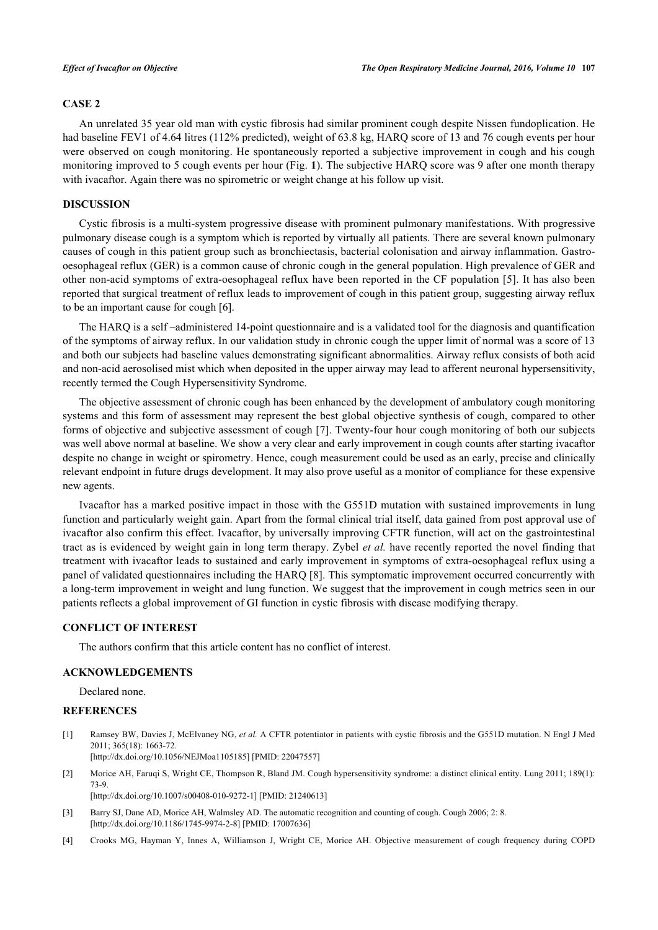# **CASE 2**

An unrelated 35 year old man with cystic fibrosis had similar prominent cough despite Nissen fundoplication. He had baseline FEV1 of 4.64 litres (112% predicted), weight of 63.8 kg, HARQ score of 13 and 76 cough events per hour were observed on cough monitoring. He spontaneously reported a subjective improvement in cough and his cough monitoring improved to 5 cough events per hour (Fig. **[1](#page-1-0)**). The subjective HARQ score was 9 after one month therapy with ivacaftor. Again there was no spirometric or weight change at his follow up visit.

#### **DISCUSSION**

Cystic fibrosis is a multi-system progressive disease with prominent pulmonary manifestations. With progressive pulmonary disease cough is a symptom which is reported by virtually all patients. There are several known pulmonary causes of cough in this patient group such as bronchiectasis, bacterial colonisation and airway inflammation. Gastrooesophageal reflux (GER) is a common cause of chronic cough in the general population. High prevalence of GER and other non-acid symptoms of extra-oesophageal reflux have been reported in the CF population [[5\]](#page-3-0). It has also been reported that surgical treatment of reflux leads to improvement of cough in this patient group, suggesting airway reflux to be an important cause for cough [\[6](#page-3-1)].

The HARQ is a self –administered 14-point questionnaire and is a validated tool for the diagnosis and quantification of the symptoms of airway reflux. In our validation study in chronic cough the upper limit of normal was a score of 13 and both our subjects had baseline values demonstrating significant abnormalities. Airway reflux consists of both acid and non-acid aerosolised mist which when deposited in the upper airway may lead to afferent neuronal hypersensitivity, recently termed the Cough Hypersensitivity Syndrome.

The objective assessment of chronic cough has been enhanced by the development of ambulatory cough monitoring systems and this form of assessment may represent the best global objective synthesis of cough, compared to other forms of objective and subjective assessment of cough [\[7](#page-3-2)]. Twenty-four hour cough monitoring of both our subjects was well above normal at baseline. We show a very clear and early improvement in cough counts after starting ivacaftor despite no change in weight or spirometry. Hence, cough measurement could be used as an early, precise and clinically relevant endpoint in future drugs development. It may also prove useful as a monitor of compliance for these expensive new agents.

Ivacaftor has a marked positive impact in those with the G551D mutation with sustained improvements in lung function and particularly weight gain. Apart from the formal clinical trial itself, data gained from post approval use of ivacaftor also confirm this effect. Ivacaftor, by universally improving CFTR function, will act on the gastrointestinal tract as is evidenced by weight gain in long term therapy. Zybel *et al.* have recently reported the novel finding that treatment with ivacaftor leads to sustained and early improvement in symptoms of extra-oesophageal reflux using a panel of validated questionnaires including the HARQ [\[8\]](#page-3-3). This symptomatic improvement occurred concurrently with a long-term improvement in weight and lung function. We suggest that the improvement in cough metrics seen in our patients reflects a global improvement of GI function in cystic fibrosis with disease modifying therapy.

## **CONFLICT OF INTEREST**

The authors confirm that this article content has no conflict of interest.

### **ACKNOWLEDGEMENTS**

Declared none.

# **REFERENCES**

<span id="page-2-0"></span>[1] Ramsey BW, Davies J, McElvaney NG, *et al.* A CFTR potentiator in patients with cystic fibrosis and the G551D mutation. N Engl J Med 2011; 365(18): 1663-72. [\[http://dx.doi.org/10.1056/NEJMoa1105185](http://dx.doi.org/10.1056/NEJMoa1105185)] [PMID: [22047557\]](http://www.ncbi.nlm.nih.gov/pubmed/22047557)

<span id="page-2-1"></span>[2] Morice AH, Faruqi S, Wright CE, Thompson R, Bland JM. Cough hypersensitivity syndrome: a distinct clinical entity. Lung 2011; 189(1): 73-9.

[\[http://dx.doi.org/10.1007/s00408-010-9272-1\]](http://dx.doi.org/10.1007/s00408-010-9272-1) [PMID: [21240613](http://www.ncbi.nlm.nih.gov/pubmed/21240613)]

- <span id="page-2-2"></span>[3] Barry SJ, Dane AD, Morice AH, Walmsley AD. The automatic recognition and counting of cough. Cough 2006; 2: 8. [\[http://dx.doi.org/10.1186/1745-9974-2-8\]](http://dx.doi.org/10.1186/1745-9974-2-8) [PMID: [17007636](http://www.ncbi.nlm.nih.gov/pubmed/17007636)]
- <span id="page-2-3"></span>[4] Crooks MG, Hayman Y, Innes A, Williamson J, Wright CE, Morice AH. Objective measurement of cough frequency during COPD